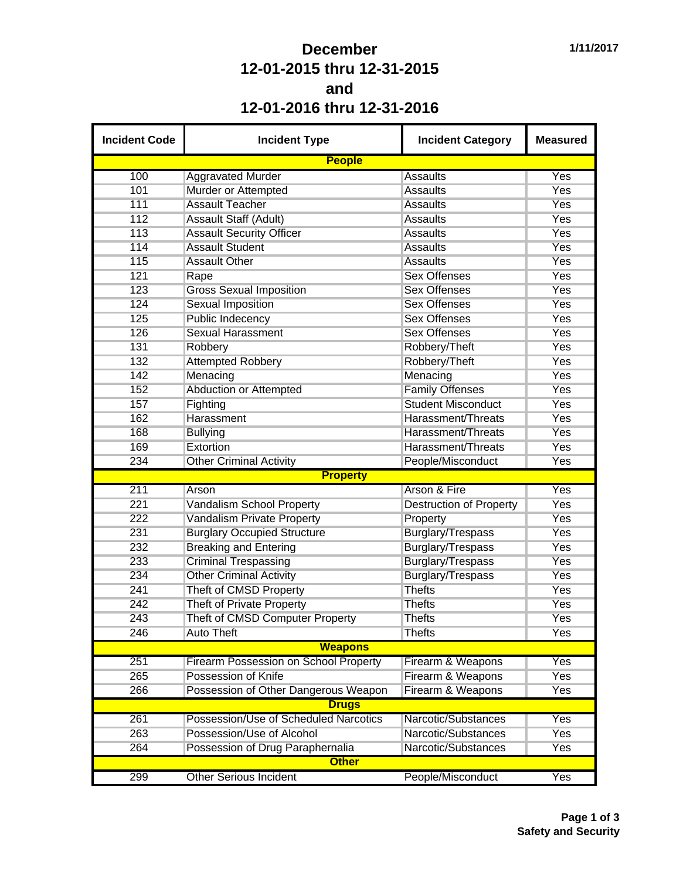## **December 12-01-2015 thru 12-31-2015 and 12-01-2016 thru 12-31-2016**

| <b>Incident Code</b> | <b>Incident Type</b>                                          | <b>Incident Category</b>       | <b>Measured</b> |  |  |  |
|----------------------|---------------------------------------------------------------|--------------------------------|-----------------|--|--|--|
|                      | <b>People</b>                                                 |                                |                 |  |  |  |
| 100                  | <b>Aggravated Murder</b>                                      | Assaults                       | Yes             |  |  |  |
| 101                  | Murder or Attempted                                           | <b>Assaults</b>                | Yes             |  |  |  |
| 111                  | <b>Assault Teacher</b>                                        | <b>Assaults</b>                | Yes             |  |  |  |
| 112                  | <b>Assault Staff (Adult)</b>                                  | <b>Assaults</b>                | Yes             |  |  |  |
| 113                  | <b>Assault Security Officer</b>                               | <b>Assaults</b>                | Yes             |  |  |  |
| 114                  | <b>Assault Student</b>                                        | <b>Assaults</b>                | Yes             |  |  |  |
| 115                  | <b>Assault Other</b>                                          | <b>Assaults</b>                | Yes             |  |  |  |
| 121                  | Rape                                                          | <b>Sex Offenses</b>            | Yes             |  |  |  |
| 123                  | <b>Gross Sexual Imposition</b>                                | <b>Sex Offenses</b>            | <b>Yes</b>      |  |  |  |
| 124                  | <b>Sexual Imposition</b>                                      | <b>Sex Offenses</b>            | <b>Yes</b>      |  |  |  |
| 125                  | <b>Public Indecency</b>                                       | <b>Sex Offenses</b>            | Yes             |  |  |  |
| 126                  | <b>Sexual Harassment</b>                                      | <b>Sex Offenses</b>            | Yes             |  |  |  |
| 131                  | Robbery                                                       | Robbery/Theft                  | <b>Yes</b>      |  |  |  |
| 132                  | <b>Attempted Robbery</b>                                      | Robbery/Theft                  | Yes             |  |  |  |
| 142                  | Menacing                                                      | Menacing                       | Yes             |  |  |  |
| 152                  | <b>Abduction or Attempted</b>                                 | <b>Family Offenses</b>         | <b>Yes</b>      |  |  |  |
| 157                  | Fighting                                                      | <b>Student Misconduct</b>      | <b>Yes</b>      |  |  |  |
| 162                  | Harassment                                                    | Harassment/Threats             | <b>Yes</b>      |  |  |  |
| 168                  | <b>Bullying</b>                                               | Harassment/Threats             | <b>Yes</b>      |  |  |  |
| 169                  | Extortion                                                     | Harassment/Threats             | Yes             |  |  |  |
| 234                  | <b>Other Criminal Activity</b>                                | People/Misconduct              | Yes             |  |  |  |
|                      | <b>Property</b>                                               |                                |                 |  |  |  |
| 211                  | Arson                                                         | <b>Arson &amp; Fire</b>        | Yes             |  |  |  |
| 221                  | <b>Vandalism School Property</b>                              | <b>Destruction of Property</b> | <b>Yes</b>      |  |  |  |
| 222                  | Vandalism Private Property                                    | Property                       | Yes             |  |  |  |
| 231                  | <b>Burglary Occupied Structure</b>                            | <b>Burglary/Trespass</b>       | <b>Yes</b>      |  |  |  |
| 232                  | <b>Breaking and Entering</b>                                  | Burglary/Trespass              | <b>Yes</b>      |  |  |  |
| 233                  |                                                               |                                | <b>Yes</b>      |  |  |  |
|                      | <b>Criminal Trespassing</b><br><b>Other Criminal Activity</b> | Burglary/Trespass              | Yes             |  |  |  |
| 234                  |                                                               | Burglary/Trespass              |                 |  |  |  |
| 241                  | Theft of CMSD Property                                        | <b>Thefts</b>                  | Yes             |  |  |  |
| 242                  | Theft of Private Property                                     | <b>Thefts</b>                  | Yes             |  |  |  |
| 243                  | Theft of CMSD Computer Property                               | <b>Thefts</b>                  | Yes             |  |  |  |
| 246                  | <b>Auto Theft</b>                                             | <b>Thefts</b>                  | Yes             |  |  |  |
|                      | <b>Weapons</b>                                                |                                |                 |  |  |  |
| 251                  | <b>Firearm Possession on School Property</b>                  | Firearm & Weapons              | Yes             |  |  |  |
| 265                  | Possession of Knife                                           | Firearm & Weapons              | <b>Yes</b>      |  |  |  |
| 266                  | Possession of Other Dangerous Weapon                          | Firearm & Weapons              | Yes             |  |  |  |
|                      | <b>Drugs</b>                                                  |                                |                 |  |  |  |
| 261                  | Possession/Use of Scheduled Narcotics                         | Narcotic/Substances            | Yes             |  |  |  |
| 263                  | Possession/Use of Alcohol                                     | Narcotic/Substances            | Yes             |  |  |  |
| 264                  | Possession of Drug Paraphernalia                              | Narcotic/Substances            | Yes             |  |  |  |
|                      | <b>Other</b>                                                  |                                |                 |  |  |  |
| 299                  | <b>Other Serious Incident</b>                                 | People/Misconduct              | Yes             |  |  |  |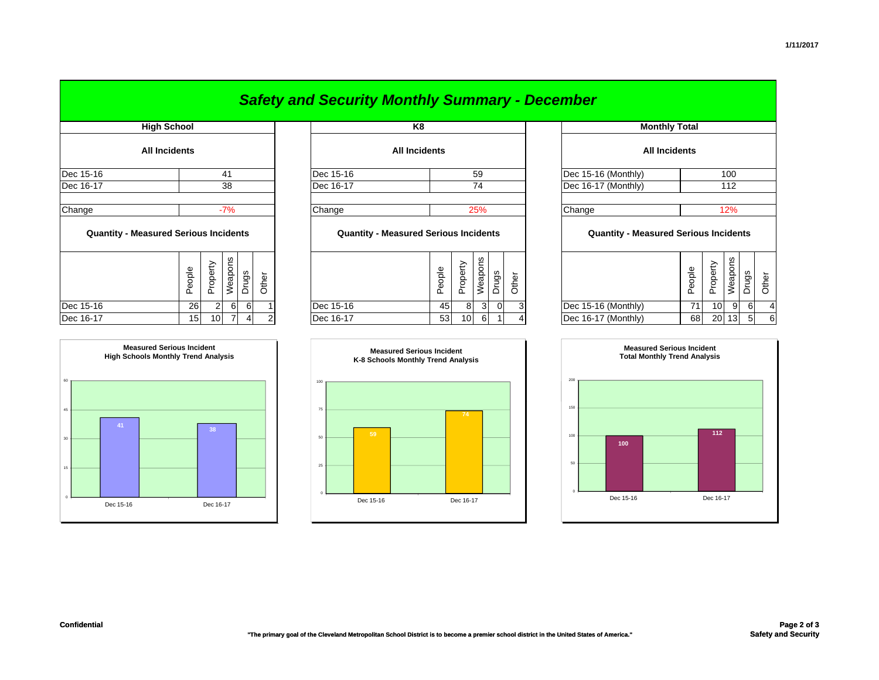|                                              |                      |          |         |       |           | <b>Safety and Security Monthly Summary - December</b> |                      |        |          |                |                |                            |                                              |        |                 |         |       |       |  |
|----------------------------------------------|----------------------|----------|---------|-------|-----------|-------------------------------------------------------|----------------------|--------|----------|----------------|----------------|----------------------------|----------------------------------------------|--------|-----------------|---------|-------|-------|--|
| <b>High School</b>                           |                      |          |         |       |           | K <sub>8</sub>                                        |                      |        |          |                |                |                            | <b>Monthly Total</b>                         |        |                 |         |       |       |  |
|                                              | <b>All Incidents</b> |          |         |       |           |                                                       | <b>All Incidents</b> |        |          |                |                |                            | <b>All Incidents</b>                         |        |                 |         |       |       |  |
| Dec 15-16                                    |                      |          | 41      |       |           | Dec 15-16                                             |                      |        |          | 59             |                |                            | Dec 15-16 (Monthly)                          | 100    |                 |         |       |       |  |
| Dec 16-17                                    |                      | 38       |         |       | Dec 16-17 |                                                       | 74                   |        |          |                |                | Dec 16-17 (Monthly)<br>112 |                                              |        |                 |         |       |       |  |
| Change                                       |                      |          | $-7%$   |       |           | Change                                                |                      |        |          | 25%            |                |                            | Change                                       |        |                 | 12%     |       |       |  |
| <b>Quantity - Measured Serious Incidents</b> |                      |          |         |       |           | <b>Quantity - Measured Serious Incidents</b>          |                      |        |          |                |                |                            | <b>Quantity - Measured Serious Incidents</b> |        |                 |         |       |       |  |
|                                              | People               | Property | Weapons | Drugs | Other     |                                                       |                      | People | Property | Weapons        | Drugs          | Other                      |                                              | People | Property        | Weapons | Drugs | Other |  |
| Dec 15-16                                    |                      | 26       | 2<br>6  | 6     |           | Dec 15-16                                             |                      | 45     | 8        | 3 <sup>1</sup> | $\overline{0}$ |                            | Dec 15-16 (Monthly)                          | 71     | 10 <sub>l</sub> | 9       | 6     |       |  |

| <b>Monthly Total</b>                         |        |          |         |       |       |  |  |  |  |  |  |  |  |  |
|----------------------------------------------|--------|----------|---------|-------|-------|--|--|--|--|--|--|--|--|--|
| <b>All Incidents</b>                         |        |          |         |       |       |  |  |  |  |  |  |  |  |  |
| Dec 15-16 (Monthly)<br>100                   |        |          |         |       |       |  |  |  |  |  |  |  |  |  |
| Dec 16-17 (Monthly)                          |        | 112      |         |       |       |  |  |  |  |  |  |  |  |  |
|                                              |        |          |         |       |       |  |  |  |  |  |  |  |  |  |
| 12%<br>Change                                |        |          |         |       |       |  |  |  |  |  |  |  |  |  |
| <b>Quantity - Measured Serious Incidents</b> |        |          |         |       |       |  |  |  |  |  |  |  |  |  |
|                                              | People | Property | Weapons | Drugs | Other |  |  |  |  |  |  |  |  |  |
| Dec 15-16 (Monthly)                          | 71     | 10       | 9       | 6     | 4     |  |  |  |  |  |  |  |  |  |
| Dec 16-17 (Monthly)                          | 68     | 20       | 13      | 5     | 6     |  |  |  |  |  |  |  |  |  |





## *Safety and Security Monthly Summary - December*

| $DEC$ $10 - 11$                              | ၁ဝ                                                              | $10010 - 11$ | $1 +$                                                                    | IDEC TO-TT (IVIOITUITY)                      | $\overline{1}$                                  |  |  |
|----------------------------------------------|-----------------------------------------------------------------|--------------|--------------------------------------------------------------------------|----------------------------------------------|-------------------------------------------------|--|--|
| Change                                       | $-7%$                                                           | Change       | 25%                                                                      | Change                                       | 12%                                             |  |  |
| <b>Quantity - Measured Serious Incidents</b> |                                                                 |              | <b>Quantity - Measured Serious Incidents</b>                             | <b>Quantity - Measured Serious Incidents</b> |                                                 |  |  |
|                                              | Weapons<br>erty<br>eldo<br>Drugs<br>Other<br>ě<br>$\Omega$<br>൨ |              | Weapons<br>hoberty<br>eople<br>Drugs<br>৯<br>ਨੈਂ<br>$\Omega$<br>$\Omega$ |                                              | Weapons<br>Property<br>People<br>Drugs<br>Other |  |  |
| Dec 15-16                                    | 61<br>26<br>61                                                  | Dec 15-16    | 45<br>3<br>3<br>01<br>8                                                  | Dec 15-16 (Monthly)                          | 71<br>9<br>10<br>6                              |  |  |
| Dec 16-17                                    | 7<br>15<br>10 <sup>1</sup>                                      | Dec 16-17    | 53<br>6<br>10                                                            | Dec 16-17 (Monthly)                          | 20 13<br>68<br>5<br>6                           |  |  |